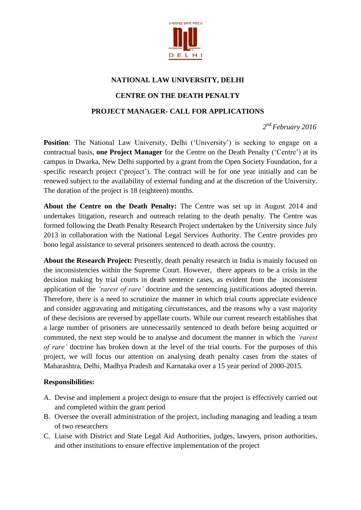

## **NATIONAL LAW UNIVERSITY, DELHI**

# **CENTRE ON THE DEATH PENALTY**

#### **PROJECT MANAGER- CALL FOR APPLICATIONS**

*2 nd February 2016*

**Position**: The National Law University, Delhi ('University') is seeking to engage on a contractual basis, **one Project Manager** for the Centre on the Death Penalty ("Centre") at its campus in Dwarka, New Delhi supported by a grant from the Open Society Foundation, for a specific research project ('project'). The contract will be for one year initially and can be renewed subject to the availability of external funding and at the discretion of the University. The duration of the project is 18 (eighteen) months.

**About the Centre on the Death Penalty:** The Centre was set up in August 2014 and undertakes litigation, research and outreach relating to the death penalty. The Centre was formed following the Death Penalty Research Project undertaken by the University since July 2013 in collaboration with the National Legal Services Authority. The Centre provides pro bono legal assistance to several prisoners sentenced to death across the country.

**About the Research Project:** Presently, death penalty research in India is mainly focused on the inconsistencies within the Supreme Court. However, there appears to be a crisis in the decision making by trial courts in death sentence cases, as evident from the inconsistent application of the *'rarest of rare'* doctrine and the sentencing justifications adopted therein. Therefore, there is a need to scrutinize the manner in which trial courts appreciate evidence and consider aggravating and mitigating circumstances, and the reasons why a vast majority of these decisions are reversed by appellate courts. While our current research establishes that a large number of prisoners are unnecessarily sentenced to death before being acquitted or commuted, the next step would be to analyse and document the manner in which the *'rarest of rare'* doctrine has broken down at the level of the trial courts. For the purposes of this project, we will focus our attention on analysing death penalty cases from the states of Maharashtra, Delhi, Madhya Pradesh and Karnataka over a 15 year period of 2000-2015.

## **Responsibilities:**

- A. Devise and implement a project design to ensure that the project is effectively carried out and completed within the grant period
- B. Oversee the overall administration of the project, including managing and leading a team of two researchers
- C. Liaise with District and State Legal Aid Authorities, judges, lawyers, prison authorities, and other institutions to ensure effective implementation of the project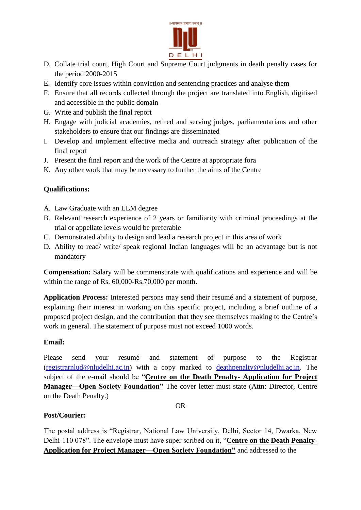

- D. Collate trial court, High Court and Supreme Court judgments in death penalty cases for the period 2000-2015
- E. Identify core issues within conviction and sentencing practices and analyse them
- F. Ensure that all records collected through the project are translated into English, digitised and accessible in the public domain
- G. Write and publish the final report
- H. Engage with judicial academies, retired and serving judges, parliamentarians and other stakeholders to ensure that our findings are disseminated
- I. Develop and implement effective media and outreach strategy after publication of the final report
- J. Present the final report and the work of the Centre at appropriate fora
- K. Any other work that may be necessary to further the aims of the Centre

## **Qualifications:**

- A. Law Graduate with an LLM degree
- B. Relevant research experience of 2 years or familiarity with criminal proceedings at the trial or appellate levels would be preferable
- C. Demonstrated ability to design and lead a research project in this area of work
- D. Ability to read/ write/ speak regional Indian languages will be an advantage but is not mandatory

**Compensation:** Salary will be commensurate with qualifications and experience and will be within the range of Rs. 60,000-Rs.70,000 per month.

**Application Process:** Interested persons may send their resumé and a statement of purpose, explaining their interest in working on this specific project, including a brief outline of a proposed project design, and the contribution that they see themselves making to the Centre"s work in general. The statement of purpose must not exceed 1000 words.

## **Email:**

Please send your resumé and statement of purpose to the Registrar [\(registrarnlud@nludelhi.ac.in\)](mailto:registrarnlud@nludelhi.ac.in) with a copy marked to [deathpenalty@nludelhi.ac.in.](mailto:deathpenalty@nludelhi.ac.in) The subject of the e-mail should be "**Centre on the Death Penalty- Application for Project Manager—Open Society Foundation"** The cover letter must state (Attn: Director, Centre on the Death Penalty.)

#### OR

## **Post/Courier:**

The postal address is "Registrar, National Law University, Delhi, Sector 14, Dwarka, New Delhi-110 078". The envelope must have super scribed on it, "**Centre on the Death Penalty-Application for Project Manager—Open Society Foundation"** and addressed to the